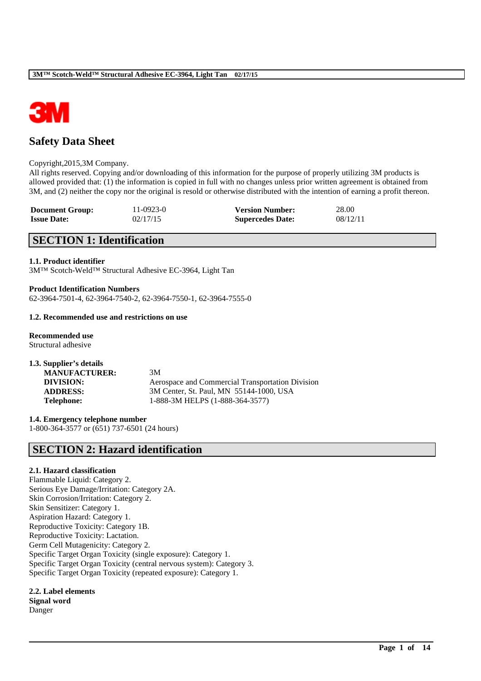

# **Safety Data Sheet**

#### Copyright,2015,3M Company.

All rights reserved. Copying and/or downloading of this information for the purpose of properly utilizing 3M products is allowed provided that: (1) the information is copied in full with no changes unless prior written agreement is obtained from 3M, and (2) neither the copy nor the original is resold or otherwise distributed with the intention of earning a profit thereon.

\_\_\_\_\_\_\_\_\_\_\_\_\_\_\_\_\_\_\_\_\_\_\_\_\_\_\_\_\_\_\_\_\_\_\_\_\_\_\_\_\_\_\_\_\_\_\_\_\_\_\_\_\_\_\_\_\_\_\_\_\_\_\_\_\_\_\_\_\_\_\_\_\_\_\_\_\_\_\_\_\_\_\_\_\_\_\_\_\_\_

| <b>Document Group:</b> | 11-0923-0 | <b>Version Number:</b>  | 28.00    |
|------------------------|-----------|-------------------------|----------|
| <b>Issue Date:</b>     | 02/17/15  | <b>Supercedes Date:</b> | 08/12/11 |

## **SECTION 1: Identification**

### **1.1. Product identifier**

3M™ Scotch-Weld™ Structural Adhesive EC-3964, Light Tan

# **Product Identification Numbers**

62-3964-7501-4, 62-3964-7540-2, 62-3964-7550-1, 62-3964-7555-0

#### **1.2. Recommended use and restrictions on use**

**Recommended use** Structural adhesive

| 1.3. Supplier's details |                                                  |
|-------------------------|--------------------------------------------------|
| <b>MANUFACTURER:</b>    | 3M                                               |
| DIVISION:               | Aerospace and Commercial Transportation Division |
| <b>ADDRESS:</b>         | 3M Center, St. Paul, MN 55144-1000, USA          |
| <b>Telephone:</b>       | 1-888-3M HELPS (1-888-364-3577)                  |

**1.4. Emergency telephone number** 1-800-364-3577 or (651) 737-6501 (24 hours)

## **SECTION 2: Hazard identification**

## **2.1. Hazard classification**

Flammable Liquid: Category 2. Serious Eye Damage/Irritation: Category 2A. Skin Corrosion/Irritation: Category 2. Skin Sensitizer: Category 1. Aspiration Hazard: Category 1. Reproductive Toxicity: Category 1B. Reproductive Toxicity: Lactation. Germ Cell Mutagenicity: Category 2. Specific Target Organ Toxicity (single exposure): Category 1. Specific Target Organ Toxicity (central nervous system): Category 3. Specific Target Organ Toxicity (repeated exposure): Category 1.

**2.2. Label elements Signal word** Danger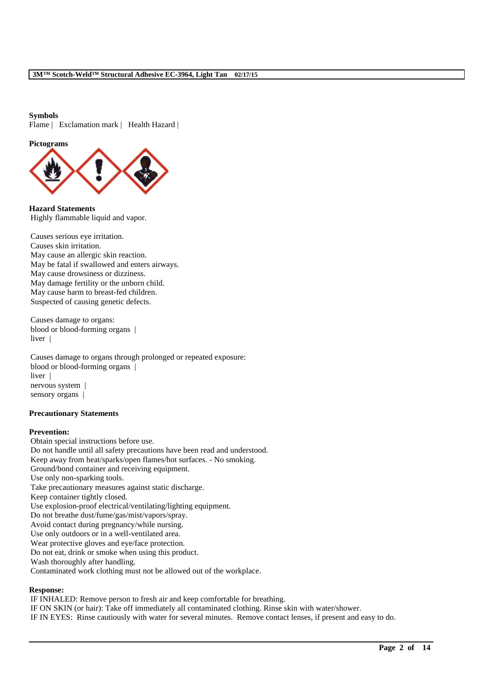### **Symbols**

Flame | Exclamation mark | Health Hazard |

## **Pictograms**



**Hazard Statements** Highly flammable liquid and vapor.

Causes serious eye irritation. Causes skin irritation. May cause an allergic skin reaction. May be fatal if swallowed and enters airways. May cause drowsiness or dizziness. May damage fertility or the unborn child. May cause harm to breast-fed children. Suspected of causing genetic defects.

Causes damage to organs: blood or blood-forming organs | liver |

Causes damage to organs through prolonged or repeated exposure: blood or blood-forming organs | liver | nervous system | sensory organs |

#### **Precautionary Statements**

#### **Prevention:**

Obtain special instructions before use. Do not handle until all safety precautions have been read and understood. Keep away from heat/sparks/open flames/hot surfaces. - No smoking. Ground/bond container and receiving equipment. Use only non-sparking tools. Take precautionary measures against static discharge. Keep container tightly closed. Use explosion-proof electrical/ventilating/lighting equipment. Do not breathe dust/fume/gas/mist/vapors/spray. Avoid contact during pregnancy/while nursing. Use only outdoors or in a well-ventilated area. Wear protective gloves and eye/face protection. Do not eat, drink or smoke when using this product. Wash thoroughly after handling. Contaminated work clothing must not be allowed out of the workplace.

## **Response:**

IF INHALED: Remove person to fresh air and keep comfortable for breathing. IF ON SKIN (or hair): Take off immediately all contaminated clothing. Rinse skin with water/shower. IF IN EYES: Rinse cautiously with water for several minutes. Remove contact lenses, if present and easy to do.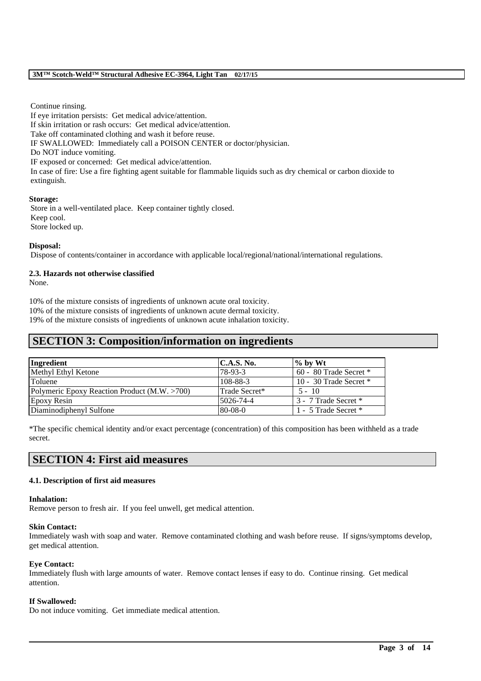Continue rinsing.

If eye irritation persists: Get medical advice/attention. If skin irritation or rash occurs: Get medical advice/attention. Take off contaminated clothing and wash it before reuse. IF SWALLOWED: Immediately call a POISON CENTER or doctor/physician. Do NOT induce vomiting. IF exposed or concerned: Get medical advice/attention. In case of fire: Use a fire fighting agent suitable for flammable liquids such as dry chemical or carbon dioxide to extinguish.

#### **Storage:**

Store in a well-ventilated place. Keep container tightly closed. Keep cool. Store locked up.

## **Disposal:**

Dispose of contents/container in accordance with applicable local/regional/national/international regulations.

## **2.3. Hazards not otherwise classified**

None.

10% of the mixture consists of ingredients of unknown acute oral toxicity. 10% of the mixture consists of ingredients of unknown acute dermal toxicity. 19% of the mixture consists of ingredients of unknown acute inhalation toxicity.

## **SECTION 3: Composition/information on ingredients**

| Ingredient                                   | C.A.S. No.    | $\frac{1}{2}$ by Wt        |
|----------------------------------------------|---------------|----------------------------|
| Methyl Ethyl Ketone                          | 78-93-3       | $60 - 80$ Trade Secret $*$ |
| <b>Toluene</b>                               | 108-88-3      | 10 - 30 Trade Secret $*$   |
| Polymeric Epoxy Reaction Product (M.W. >700) | Trade Secret* | $5 - 10$                   |
| <b>Epoxy Resin</b>                           | 5026-74-4     | 3 - 7 Trade Secret *       |
| Diaminodiphenyl Sulfone                      | $80-08-0$     | 1 - 5 Trade Secret *       |

\*The specific chemical identity and/or exact percentage (concentration) of this composition has been withheld as a trade secret.

## **SECTION 4: First aid measures**

## **4.1. Description of first aid measures**

#### **Inhalation:**

Remove person to fresh air. If you feel unwell, get medical attention.

#### **Skin Contact:**

Immediately wash with soap and water. Remove contaminated clothing and wash before reuse. If signs/symptoms develop, get medical attention.

\_\_\_\_\_\_\_\_\_\_\_\_\_\_\_\_\_\_\_\_\_\_\_\_\_\_\_\_\_\_\_\_\_\_\_\_\_\_\_\_\_\_\_\_\_\_\_\_\_\_\_\_\_\_\_\_\_\_\_\_\_\_\_\_\_\_\_\_\_\_\_\_\_\_\_\_\_\_\_\_\_\_\_\_\_\_\_\_\_\_

## **Eye Contact:**

Immediately flush with large amounts of water. Remove contact lenses if easy to do. Continue rinsing. Get medical attention.

#### **If Swallowed:**

Do not induce vomiting. Get immediate medical attention.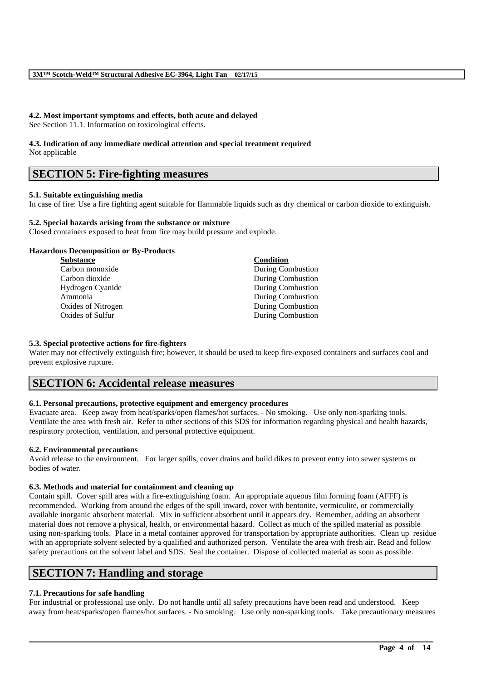## **4.2. Most important symptoms and effects, both acute and delayed**

See Section 11.1. Information on toxicological effects.

# **4.3. Indication of any immediate medical attention and special treatment required**

Not applicable

## **SECTION 5: Fire-fighting measures**

## **5.1. Suitable extinguishing media**

In case of fire: Use a fire fighting agent suitable for flammable liquids such as dry chemical or carbon dioxide to extinguish.

## **5.2. Special hazards arising from the substance or mixture**

Closed containers exposed to heat from fire may build pressure and explode.

## **Hazardous Decomposition or By-Products**

| <b>Substance</b>   | Condition                |
|--------------------|--------------------------|
| Carbon monoxide    | <b>During Combustion</b> |
| Carbon dioxide     | <b>During Combustion</b> |
| Hydrogen Cyanide   | <b>During Combustion</b> |
| Ammonia            | <b>During Combustion</b> |
| Oxides of Nitrogen | <b>During Combustion</b> |
| Oxides of Sulfur   | <b>During Combustion</b> |
|                    |                          |

## **5.3. Special protective actions for fire-fighters**

Water may not effectively extinguish fire; however, it should be used to keep fire-exposed containers and surfaces cool and prevent explosive rupture.

## **SECTION 6: Accidental release measures**

## **6.1. Personal precautions, protective equipment and emergency procedures**

Evacuate area. Keep away from heat/sparks/open flames/hot surfaces. - No smoking. Use only non-sparking tools. Ventilate the area with fresh air. Refer to other sections of this SDS for information regarding physical and health hazards, respiratory protection, ventilation, and personal protective equipment.

## **6.2. Environmental precautions**

Avoid release to the environment. For larger spills, cover drains and build dikes to prevent entry into sewer systems or bodies of water.

## **6.3. Methods and material for containment and cleaning up**

Contain spill. Cover spill area with a fire-extinguishing foam. An appropriate aqueous film forming foam (AFFF) is recommended. Working from around the edges of the spill inward, cover with bentonite, vermiculite, or commercially available inorganic absorbent material. Mix in sufficient absorbent until it appears dry. Remember, adding an absorbent material does not remove a physical, health, or environmental hazard. Collect as much of the spilled material as possible using non-sparking tools. Place in a metal container approved for transportation by appropriate authorities. Clean up residue with an appropriate solvent selected by a qualified and authorized person. Ventilate the area with fresh air. Read and follow safety precautions on the solvent label and SDS. Seal the container. Dispose of collected material as soon as possible.

# **SECTION 7: Handling and storage**

## **7.1. Precautions for safe handling**

For industrial or professional use only. Do not handle until all safety precautions have been read and understood. Keep away from heat/sparks/open flames/hot surfaces. - No smoking. Use only non-sparking tools. Take precautionary measures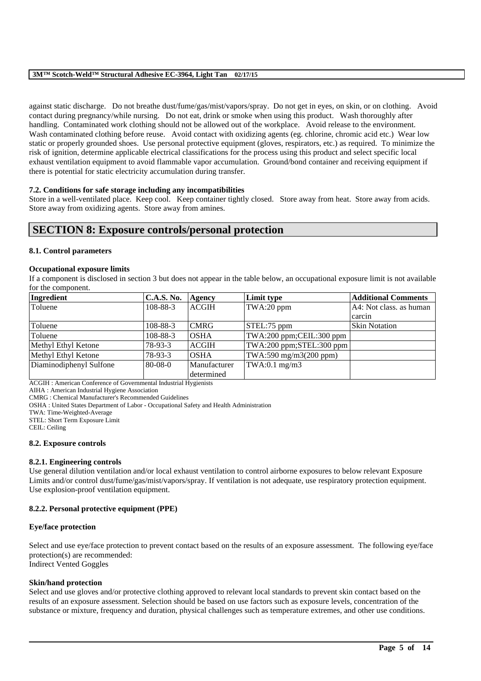against static discharge. Do not breathe dust/fume/gas/mist/vapors/spray. Do not get in eyes, on skin, or on clothing. Avoid contact during pregnancy/while nursing. Do not eat, drink or smoke when using this product. Wash thoroughly after handling. Contaminated work clothing should not be allowed out of the workplace. Avoid release to the environment. Wash contaminated clothing before reuse. Avoid contact with oxidizing agents (eg. chlorine, chromic acid etc.) Wear low static or properly grounded shoes. Use personal protective equipment (gloves, respirators, etc.) as required. To minimize the risk of ignition, determine applicable electrical classifications for the process using this product and select specific local exhaust ventilation equipment to avoid flammable vapor accumulation. Ground/bond container and receiving equipment if there is potential for static electricity accumulation during transfer.

## **7.2. Conditions for safe storage including any incompatibilities**

Store in a well-ventilated place. Keep cool. Keep container tightly closed. Store away from heat. Store away from acids. Store away from oxidizing agents. Store away from amines.

## **SECTION 8: Exposure controls/personal protection**

## **8.1. Control parameters**

#### **Occupational exposure limits**

If a component is disclosed in section 3 but does not appear in the table below, an occupational exposure limit is not available for the component.

| Ingredient              | <b>C.A.S. No.</b> | Agency       | Limit type               | <b>Additional Comments</b> |
|-------------------------|-------------------|--------------|--------------------------|----------------------------|
| Toluene                 | 108-88-3          | <b>ACGIH</b> | TWA:20 ppm               | A4: Not class, as human    |
|                         |                   |              |                          | carcin                     |
| Toluene                 | 108-88-3          | <b>CMRG</b>  | STEL:75 ppm              | <b>Skin Notation</b>       |
| Toluene                 | 108-88-3          | <b>OSHA</b>  | TWA:200 ppm;CEIL:300 ppm |                            |
| Methyl Ethyl Ketone     | 78-93-3           | <b>ACGIH</b> | TWA:200 ppm;STEL:300 ppm |                            |
| Methyl Ethyl Ketone     | 78-93-3           | <b>OSHA</b>  | TWA:590 mg/m3(200 ppm)   |                            |
| Diaminodiphenyl Sulfone | $80-08-0$         | Manufacturer | $TWA:0.1$ mg/m $3$       |                            |
|                         |                   | determined   |                          |                            |

ACGIH : American Conference of Governmental Industrial Hygienists

AIHA : American Industrial Hygiene Association

CMRG : Chemical Manufacturer's Recommended Guidelines

OSHA : United States Department of Labor - Occupational Safety and Health Administration

TWA: Time-Weighted-Average

STEL: Short Term Exposure Limit

CEIL: Ceiling

#### **8.2. Exposure controls**

#### **8.2.1. Engineering controls**

Use general dilution ventilation and/or local exhaust ventilation to control airborne exposures to below relevant Exposure Limits and/or control dust/fume/gas/mist/vapors/spray. If ventilation is not adequate, use respiratory protection equipment. Use explosion-proof ventilation equipment.

## **8.2.2. Personal protective equipment (PPE)**

## **Eye/face protection**

Select and use eye/face protection to prevent contact based on the results of an exposure assessment. The following eye/face protection(s) are recommended: Indirect Vented Goggles

**Skin/hand protection**

Select and use gloves and/or protective clothing approved to relevant local standards to prevent skin contact based on the results of an exposure assessment. Selection should be based on use factors such as exposure levels, concentration of the substance or mixture, frequency and duration, physical challenges such as temperature extremes, and other use conditions.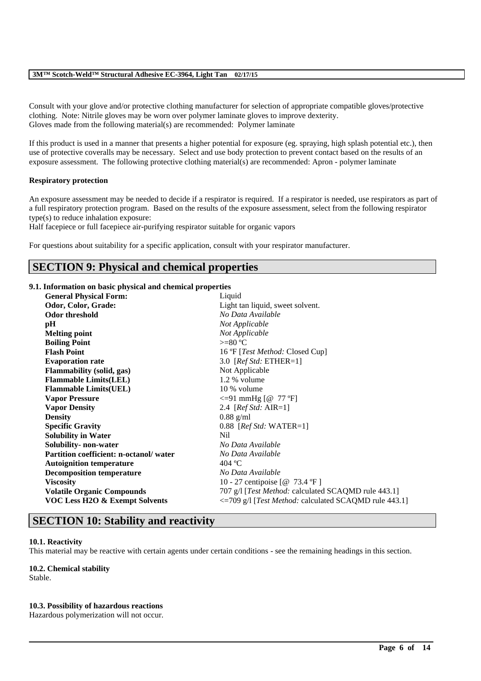Consult with your glove and/or protective clothing manufacturer for selection of appropriate compatible gloves/protective clothing. Note: Nitrile gloves may be worn over polymer laminate gloves to improve dexterity. Gloves made from the following material(s) are recommended: Polymer laminate

If this product is used in a manner that presents a higher potential for exposure (eg. spraying, high splash potential etc.), then use of protective coveralls may be necessary. Select and use body protection to prevent contact based on the results of an exposure assessment. The following protective clothing material(s) are recommended: Apron - polymer laminate

## **Respiratory protection**

An exposure assessment may be needed to decide if a respirator is required. If a respirator is needed, use respirators as part of a full respiratory protection program. Based on the results of the exposure assessment, select from the following respirator type(s) to reduce inhalation exposure:

Half facepiece or full facepiece air-purifying respirator suitable for organic vapors

For questions about suitability for a specific application, consult with your respirator manufacturer.

## **SECTION 9: Physical and chemical properties**

## **9.1. Information on basic physical and chemical properties**

| <b>General Physical Form:</b>             | Liquid                                                |  |
|-------------------------------------------|-------------------------------------------------------|--|
| Odor, Color, Grade:                       | Light tan liquid, sweet solvent.                      |  |
| Odor threshold                            | No Data Available                                     |  |
| pH                                        | Not Applicable                                        |  |
| <b>Melting point</b>                      | Not Applicable                                        |  |
| <b>Boiling Point</b>                      | $>=80 °C$                                             |  |
| <b>Flash Point</b>                        | 16 °F [ <i>Test Method:</i> Closed Cup]               |  |
| <b>Evaporation rate</b>                   | 3.0 [ $RefStd: ETHER=1$ ]                             |  |
| <b>Flammability</b> (solid, gas)          | Not Applicable                                        |  |
| <b>Flammable Limits(LEL)</b>              | 1.2 % volume                                          |  |
| <b>Flammable Limits(UEL)</b>              | 10 % volume                                           |  |
| <b>Vapor Pressure</b>                     | $\leq$ =91 mmHg [@ 77 °F]                             |  |
| <b>Vapor Density</b>                      | 2.4 [ $Ref Std: AIR=1$ ]                              |  |
| <b>Density</b>                            | $0.88$ g/ml                                           |  |
| <b>Specific Gravity</b>                   | $0.88$ [ <i>Ref Std:</i> WATER=1]                     |  |
| <b>Solubility in Water</b>                | Nil                                                   |  |
| Solubility- non-water                     | No Data Available                                     |  |
| Partition coefficient: n-octanol/water    | No Data Available                                     |  |
| <b>Autoignition temperature</b>           | 404 °C                                                |  |
| <b>Decomposition temperature</b>          | No Data Available                                     |  |
| <b>Viscosity</b>                          | 10 - 27 centipoise [@ 73.4 °F]                        |  |
| <b>Volatile Organic Compounds</b>         | 707 g/l [Test Method: calculated SCAQMD rule 443.1]   |  |
| <b>VOC Less H2O &amp; Exempt Solvents</b> | <=709 g/l [Test Method: calculated SCAQMD rule 443.1] |  |
|                                           |                                                       |  |

## **SECTION 10: Stability and reactivity**

## **10.1. Reactivity**

This material may be reactive with certain agents under certain conditions - see the remaining headings in this section.

\_\_\_\_\_\_\_\_\_\_\_\_\_\_\_\_\_\_\_\_\_\_\_\_\_\_\_\_\_\_\_\_\_\_\_\_\_\_\_\_\_\_\_\_\_\_\_\_\_\_\_\_\_\_\_\_\_\_\_\_\_\_\_\_\_\_\_\_\_\_\_\_\_\_\_\_\_\_\_\_\_\_\_\_\_\_\_\_\_\_

#### **10.2. Chemical stability**

Stable.

#### **10.3. Possibility of hazardous reactions**

Hazardous polymerization will not occur.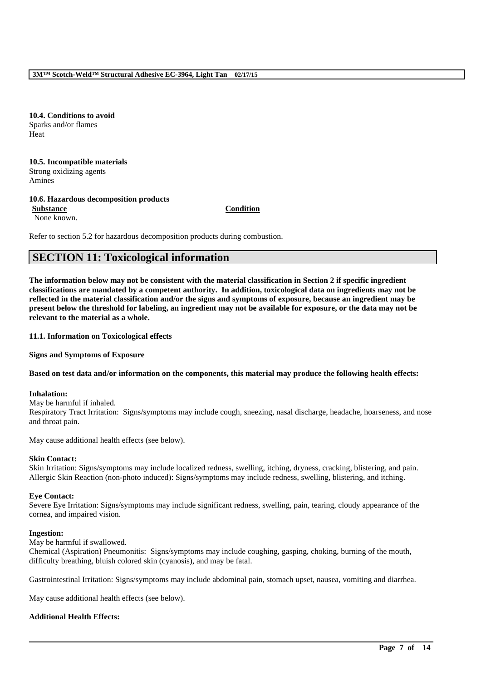**10.4. Conditions to avoid** Sparks and/or flames Heat

**10.5. Incompatible materials** Strong oxidizing agents Amines

## **10.6. Hazardous decomposition products**

**Substance Condition** None known.

Refer to section 5.2 for hazardous decomposition products during combustion.

# **SECTION 11: Toxicological information**

**The information below may not be consistent with the material classification in Section 2 if specific ingredient classifications are mandated by a competent authority. In addition, toxicological data on ingredients may not be reflected in the material classification and/or the signs and symptoms of exposure, because an ingredient may be present below the threshold for labeling, an ingredient may not be available for exposure, or the data may not be relevant to the material as a whole.**

### **11.1. Information on Toxicological effects**

**Signs and Symptoms of Exposure**

## **Based on test data and/or information on the components, this material may produce the following health effects:**

#### **Inhalation:**

May be harmful if inhaled. Respiratory Tract Irritation: Signs/symptoms may include cough, sneezing, nasal discharge, headache, hoarseness, and nose and throat pain.

May cause additional health effects (see below).

## **Skin Contact:**

Skin Irritation: Signs/symptoms may include localized redness, swelling, itching, dryness, cracking, blistering, and pain. Allergic Skin Reaction (non-photo induced): Signs/symptoms may include redness, swelling, blistering, and itching.

#### **Eye Contact:**

Severe Eye Irritation: Signs/symptoms may include significant redness, swelling, pain, tearing, cloudy appearance of the cornea, and impaired vision.

#### **Ingestion:**

May be harmful if swallowed.

Chemical (Aspiration) Pneumonitis: Signs/symptoms may include coughing, gasping, choking, burning of the mouth, difficulty breathing, bluish colored skin (cyanosis), and may be fatal.

Gastrointestinal Irritation: Signs/symptoms may include abdominal pain, stomach upset, nausea, vomiting and diarrhea.

\_\_\_\_\_\_\_\_\_\_\_\_\_\_\_\_\_\_\_\_\_\_\_\_\_\_\_\_\_\_\_\_\_\_\_\_\_\_\_\_\_\_\_\_\_\_\_\_\_\_\_\_\_\_\_\_\_\_\_\_\_\_\_\_\_\_\_\_\_\_\_\_\_\_\_\_\_\_\_\_\_\_\_\_\_\_\_\_\_\_

May cause additional health effects (see below).

## **Additional Health Effects:**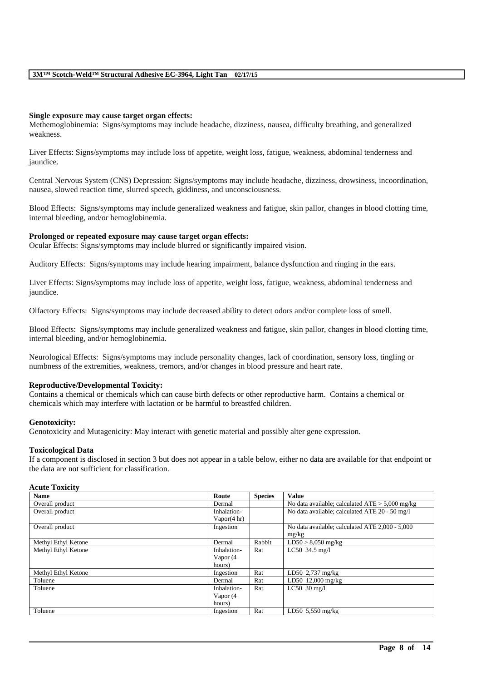#### **Single exposure may cause target organ effects:**

Methemoglobinemia: Signs/symptoms may include headache, dizziness, nausea, difficulty breathing, and generalized weakness.

Liver Effects: Signs/symptoms may include loss of appetite, weight loss, fatigue, weakness, abdominal tenderness and iaundice.

Central Nervous System (CNS) Depression: Signs/symptoms may include headache, dizziness, drowsiness, incoordination, nausea, slowed reaction time, slurred speech, giddiness, and unconsciousness.

Blood Effects: Signs/symptoms may include generalized weakness and fatigue, skin pallor, changes in blood clotting time, internal bleeding, and/or hemoglobinemia.

#### **Prolonged or repeated exposure may cause target organ effects:**

Ocular Effects: Signs/symptoms may include blurred or significantly impaired vision.

Auditory Effects: Signs/symptoms may include hearing impairment, balance dysfunction and ringing in the ears.

Liver Effects: Signs/symptoms may include loss of appetite, weight loss, fatigue, weakness, abdominal tenderness and jaundice.

Olfactory Effects: Signs/symptoms may include decreased ability to detect odors and/or complete loss of smell.

Blood Effects: Signs/symptoms may include generalized weakness and fatigue, skin pallor, changes in blood clotting time, internal bleeding, and/or hemoglobinemia.

Neurological Effects: Signs/symptoms may include personality changes, lack of coordination, sensory loss, tingling or numbness of the extremities, weakness, tremors, and/or changes in blood pressure and heart rate.

## **Reproductive/Developmental Toxicity:**

Contains a chemical or chemicals which can cause birth defects or other reproductive harm. Contains a chemical or chemicals which may interfere with lactation or be harmful to breastfed children.

#### **Genotoxicity:**

Genotoxicity and Mutagenicity: May interact with genetic material and possibly alter gene expression.

#### **Toxicological Data**

If a component is disclosed in section 3 but does not appear in a table below, either no data are available for that endpoint or the data are not sufficient for classification.

#### **Acute Toxicity**

| <b>Name</b>         | Route                  | <b>Species</b> | <b>Value</b>                                      |
|---------------------|------------------------|----------------|---------------------------------------------------|
| Overall product     | Dermal                 |                | No data available; calculated $ATE > 5,000$ mg/kg |
| Overall product     | Inhalation-            |                | No data available; calculated ATE 20 - 50 mg/l    |
|                     | Vapor $(4 \text{ hr})$ |                |                                                   |
| Overall product     | Ingestion              |                | No data available; calculated ATE 2,000 - 5,000   |
|                     |                        |                | mg/kg                                             |
| Methyl Ethyl Ketone | Dermal                 | Rabbit         | $LD50 > 8,050$ mg/kg                              |
| Methyl Ethyl Ketone | Inhalation-            | Rat            | $LC50$ 34.5 mg/l                                  |
|                     | Vapor (4               |                |                                                   |
|                     | hours)                 |                |                                                   |
| Methyl Ethyl Ketone | Ingestion              | Rat            | LD50 2,737 mg/kg                                  |
| Toluene             | Dermal                 | Rat            | LD50 12,000 mg/kg                                 |
| Toluene             | Inhalation-            | Rat            | LC50 $30$ mg/l                                    |
|                     | Vapor (4               |                |                                                   |
|                     | hours)                 |                |                                                   |
| Toluene             | Ingestion              | Rat            | LD50 $5,550$ mg/kg                                |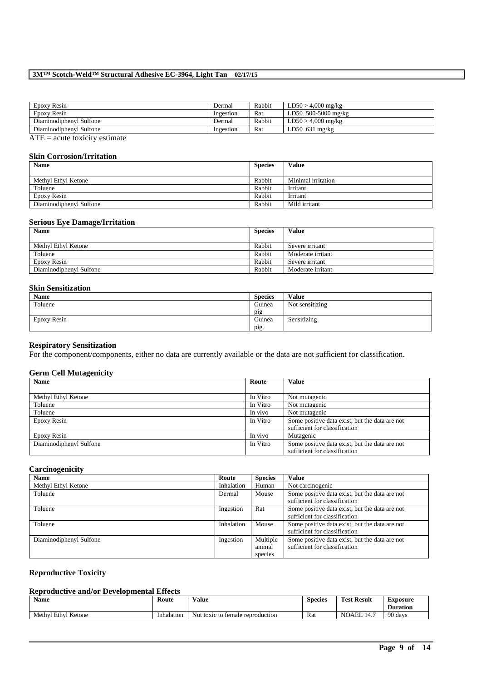| Epoxy Resin             | Dermal    | Rabbit | $LD50 > 4.000$ mg/kg |
|-------------------------|-----------|--------|----------------------|
| Epoxy Resin             | Ingestion | Rat    | LD50 500-5000 mg/kg  |
| Diaminodiphenyl Sulfone | Dermal    | Rabbit | $LD50 > 4,000$ mg/kg |
| Diaminodiphenyl Sulfone | Ingestion | Rat    | LD50 $631$ mg/kg     |
| $\sim$ $-$              |           |        |                      |

 $ATE = acute toxicity estimate$ 

### **Skin Corrosion/Irritation**

| <b>Name</b>             | <b>Species</b> | Value              |
|-------------------------|----------------|--------------------|
| Methyl Ethyl Ketone     | Rabbit         | Minimal irritation |
| Toluene                 | Rabbit         | Irritant           |
| Epoxy Resin             | Rabbit         | Irritant           |
| Diaminodiphenyl Sulfone | Rabbit         | Mild irritant      |

#### **Serious Eye Damage/Irritation**

| <b>Name</b>             | <b>Species</b> | Value             |
|-------------------------|----------------|-------------------|
| Methyl Ethyl Ketone     | Rabbit         | Severe irritant   |
| Toluene                 | Rabbit         | Moderate irritant |
| Epoxy Resin             | Rabbit         | Severe irritant   |
| Diaminodiphenyl Sulfone | Rabbit         | Moderate irritant |

## **Skin Sensitization**

| Name        | <b>Species</b> | <b>Value</b>    |
|-------------|----------------|-----------------|
| Toluene     | Guinea         | Not sensitizing |
|             | pig            |                 |
| Epoxy Resin | Guinea         | Sensitizing     |
|             | pig            |                 |

### **Respiratory Sensitization**

For the component/components, either no data are currently available or the data are not sufficient for classification.

## **Germ Cell Mutagenicity**

| <b>Name</b>             | Route    | Value                                          |
|-------------------------|----------|------------------------------------------------|
|                         |          |                                                |
| Methyl Ethyl Ketone     | In Vitro | Not mutagenic                                  |
| Toluene                 | In Vitro | Not mutagenic                                  |
| Toluene                 | In vivo  | Not mutagenic                                  |
| Epoxy Resin             | In Vitro | Some positive data exist, but the data are not |
|                         |          | sufficient for classification                  |
| Epoxy Resin             | In vivo  | Mutagenic                                      |
| Diaminodiphenyl Sulfone | In Vitro | Some positive data exist, but the data are not |
|                         |          | sufficient for classification                  |

## **Carcinogenicity**

| <b>Name</b>             | Route      | <b>Species</b>                | <b>Value</b>                                                                    |
|-------------------------|------------|-------------------------------|---------------------------------------------------------------------------------|
| Methyl Ethyl Ketone     | Inhalation | Human                         | Not carcinogenic                                                                |
| Toluene                 | Dermal     | Mouse                         | Some positive data exist, but the data are not<br>sufficient for classification |
| Toluene                 | Ingestion  | Rat                           | Some positive data exist, but the data are not<br>sufficient for classification |
| Toluene                 | Inhalation | Mouse                         | Some positive data exist, but the data are not<br>sufficient for classification |
| Diaminodiphenyl Sulfone | Ingestion  | Multiple<br>animal<br>species | Some positive data exist, but the data are not<br>sufficient for classification |

## **Reproductive Toxicity**

## **Reproductive and/or Developmental Effects**

| $\mathbf{v}$<br>Name                    | Route      | $-1$<br>Value                         | $\sim$<br>Species | Test.<br><b>Result</b> | -<br>Exposure<br><b>Duration</b> |
|-----------------------------------------|------------|---------------------------------------|-------------------|------------------------|----------------------------------|
| <sup>-1</sup> Ketone<br>Ethyl<br>Methyl | Inhalation | Not<br>t toxic to female reproduction | Rat               | NOAEL                  | 90 days                          |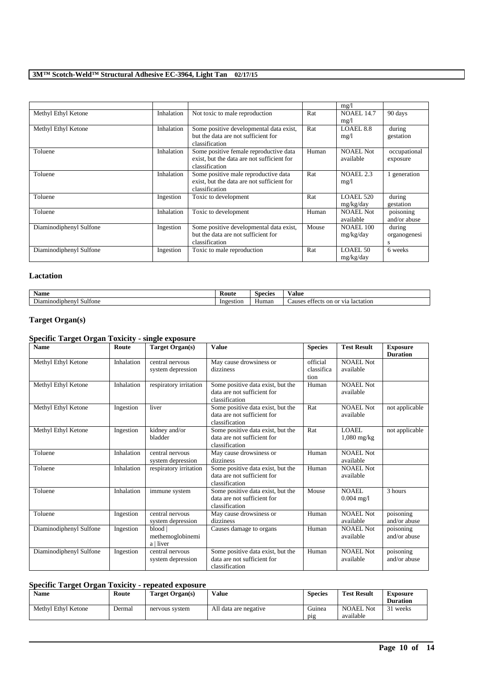|                         |            |                                                                                                        |       | mg/l                          |                             |
|-------------------------|------------|--------------------------------------------------------------------------------------------------------|-------|-------------------------------|-----------------------------|
| Methyl Ethyl Ketone     | Inhalation | Not toxic to male reproduction                                                                         | Rat   | <b>NOAEL 14.7</b><br>mg/l     | 90 days                     |
| Methyl Ethyl Ketone     | Inhalation | Some positive developmental data exist,<br>but the data are not sufficient for<br>classification       | Rat   | LOAEL 8.8<br>mg/1             | during<br>gestation         |
| Toluene                 | Inhalation | Some positive female reproductive data<br>exist, but the data are not sufficient for<br>classification | Human | <b>NOAEL Not</b><br>available | occupational<br>exposure    |
| Toluene                 | Inhalation | Some positive male reproductive data<br>exist, but the data are not sufficient for<br>classification   | Rat   | <b>NOAEL 2.3</b><br>mg/1      | 1 generation                |
| Toluene                 | Ingestion  | Toxic to development                                                                                   | Rat   | <b>LOAEL 520</b><br>mg/kg/day | during<br>gestation         |
| Toluene                 | Inhalation | Toxic to development                                                                                   | Human | <b>NOAEL Not</b><br>available | poisoning<br>and/or abuse   |
| Diaminodiphenyl Sulfone | Ingestion  | Some positive developmental data exist,<br>but the data are not sufficient for<br>classification       | Mouse | <b>NOAEL 100</b><br>mg/kg/day | during<br>organogenesi<br>s |
| Diaminodiphenyl Sulfone | Ingestion  | Toxic to male reproduction                                                                             | Rat   | <b>LOAEL 50</b><br>mg/kg/day  | 6 weeks                     |

## **Lactation**

| Name                                                   | Route     | Species | /alue                                          |
|--------------------------------------------------------|-----------|---------|------------------------------------------------|
| $\overline{\phantom{a}}$<br>Sulfone<br>Jiaminodiphenvl | Ingestion | Human   | or via<br>lactation<br>on<br>causes<br>effects |

## **Target Organ(s)**

## **Specific Target Organ Toxicity - single exposure**

| <b>Name</b>             | Route      | Target Organ(s)                        | <b>Value</b>                                                                       | <b>Species</b>                 | <b>Test Result</b>            | <b>Exposure</b><br><b>Duration</b> |
|-------------------------|------------|----------------------------------------|------------------------------------------------------------------------------------|--------------------------------|-------------------------------|------------------------------------|
| Methyl Ethyl Ketone     | Inhalation | central nervous<br>system depression   | May cause drowsiness or<br>dizziness                                               | official<br>classifica<br>tion | <b>NOAEL Not</b><br>available |                                    |
| Methyl Ethyl Ketone     | Inhalation | respiratory irritation                 | Some positive data exist, but the<br>data are not sufficient for<br>classification | Human                          | NOAEL Not<br>available        |                                    |
| Methyl Ethyl Ketone     | Ingestion  | liver                                  | Some positive data exist, but the<br>data are not sufficient for<br>classification | Rat                            | <b>NOAEL Not</b><br>available | not applicable                     |
| Methyl Ethyl Ketone     | Ingestion  | kidney and/or<br>bladder               | Some positive data exist, but the<br>data are not sufficient for<br>classification | Rat                            | <b>LOAEL</b><br>$1,080$ mg/kg | not applicable                     |
| Toluene                 | Inhalation | central nervous<br>system depression   | May cause drowsiness or<br>dizziness                                               | Human                          | <b>NOAEL Not</b><br>available |                                    |
| Toluene                 | Inhalation | respiratory irritation                 | Some positive data exist, but the<br>data are not sufficient for<br>classification | Human                          | <b>NOAEL Not</b><br>available |                                    |
| Toluene                 | Inhalation | immune system                          | Some positive data exist, but the<br>data are not sufficient for<br>classification | Mouse                          | <b>NOAEL</b><br>$0.004$ mg/l  | 3 hours                            |
| Toluene                 | Ingestion  | central nervous<br>system depression   | May cause drowsiness or<br>dizziness                                               | Human                          | <b>NOAEL Not</b><br>available | poisoning<br>and/or abuse          |
| Diaminodiphenyl Sulfone | Ingestion  | blood<br>methemoglobinemi<br>a   liver | Causes damage to organs                                                            | Human                          | <b>NOAEL Not</b><br>available | poisoning<br>and/or abuse          |
| Diaminodiphenyl Sulfone | Ingestion  | central nervous<br>system depression   | Some positive data exist, but the<br>data are not sufficient for<br>classification | Human                          | <b>NOAEL Not</b><br>available | poisoning<br>and/or abuse          |

## **Specific Target Organ Toxicity - repeated exposure**

| <b>Name</b>         | Route  | Target Organ(s) | Value                 | <b>Species</b>             | <b>Test Result</b>            | Exposure<br><b>Duration</b> |
|---------------------|--------|-----------------|-----------------------|----------------------------|-------------------------------|-----------------------------|
| Methyl Ethyl Ketone | Dermal | nervous system  | All data are negative | Guinea<br>p <sub>1</sub> g | <b>NOAEL Not</b><br>available | weeks                       |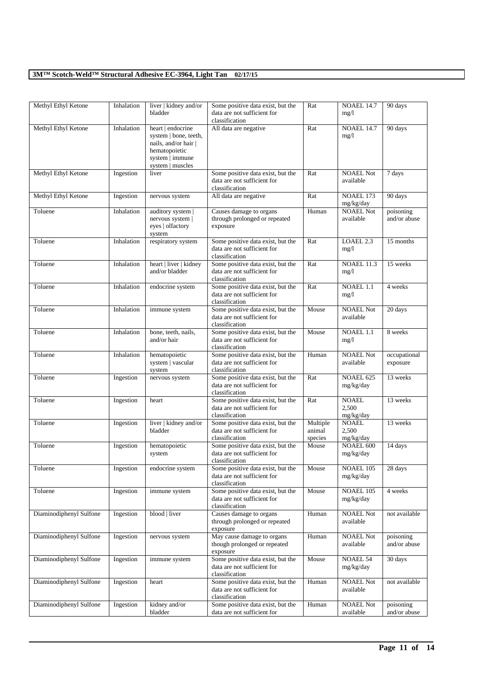| Methyl Ethyl Ketone     | Inhalation | liver   kidney and/or<br>bladder                                                                                           | Some positive data exist, but the<br>data are not sufficient for<br>classification | Rat                           | <b>NOAEL 14.7</b><br>mg/1          | 90 days                   |
|-------------------------|------------|----------------------------------------------------------------------------------------------------------------------------|------------------------------------------------------------------------------------|-------------------------------|------------------------------------|---------------------------|
| Methyl Ethyl Ketone     | Inhalation | heart   endocrine<br>system   bone, teeth,<br>nails, and/or hair  <br>hematopoietic<br>system   immune<br>system   muscles | All data are negative                                                              | Rat                           | <b>NOAEL 14.7</b><br>mg/1          | 90 days                   |
| Methyl Ethyl Ketone     | Ingestion  | liver                                                                                                                      | Some positive data exist, but the<br>data are not sufficient for<br>classification | Rat                           | <b>NOAEL Not</b><br>available      | 7 days                    |
| Methyl Ethyl Ketone     | Ingestion  | nervous system                                                                                                             | All data are negative                                                              | Rat                           | NOAEL 173<br>mg/kg/day             | 90 days                   |
| Toluene                 | Inhalation | auditory system<br>nervous system  <br>eyes   olfactory<br>system                                                          | Causes damage to organs<br>through prolonged or repeated<br>exposure               | Human                         | <b>NOAEL Not</b><br>available      | poisoning<br>and/or abuse |
| Toluene                 | Inhalation | respiratory system                                                                                                         | Some positive data exist, but the<br>data are not sufficient for<br>classification | Rat                           | LOAEL 2.3<br>mg/1                  | 15 months                 |
| Toluene                 | Inhalation | heart   liver   kidney<br>and/or bladder                                                                                   | Some positive data exist, but the<br>data are not sufficient for<br>classification | Rat                           | <b>NOAEL 11.3</b><br>mg/1          | 15 weeks                  |
| Toluene                 | Inhalation | endocrine system                                                                                                           | Some positive data exist, but the<br>data are not sufficient for<br>classification | Rat                           | NOAEL 1.1<br>mg/1                  | 4 weeks                   |
| Toluene                 | Inhalation | immune system                                                                                                              | Some positive data exist, but the<br>data are not sufficient for<br>classification | Mouse                         | <b>NOAEL Not</b><br>available      | 20 days                   |
| Toluene                 | Inhalation | bone, teeth, nails,<br>and/or hair                                                                                         | Some positive data exist, but the<br>data are not sufficient for<br>classification | Mouse                         | NOAEL 1.1<br>mg/1                  | 8 weeks                   |
| Toluene                 | Inhalation | hematopoietic<br>system   vascular<br>system                                                                               | Some positive data exist, but the<br>data are not sufficient for<br>classification | Human                         | <b>NOAEL Not</b><br>available      | occupational<br>exposure  |
| Toluene                 | Ingestion  | nervous system                                                                                                             | Some positive data exist, but the<br>data are not sufficient for<br>classification | Rat                           | NOAEL 625<br>mg/kg/day             | 13 weeks                  |
| Toluene                 | Ingestion  | heart                                                                                                                      | Some positive data exist, but the<br>data are not sufficient for<br>classification | Rat                           | <b>NOAEL</b><br>2,500<br>mg/kg/day | 13 weeks                  |
| Toluene                 | Ingestion  | liver   kidney and/or<br>bladder                                                                                           | Some positive data exist, but the<br>data are not sufficient for<br>classification | Multiple<br>animal<br>species | <b>NOAEL</b><br>2,500<br>mg/kg/day | 13 weeks                  |
| Toluene                 | Ingestion  | hematopoietic<br>system                                                                                                    | Some positive data exist, but the<br>data are not sufficient for<br>classification | Mouse                         | <b>NOAEL 600</b><br>mg/kg/day      | 14 days                   |
| Toluene                 | Ingestion  | endocrine system                                                                                                           | Some positive data exist, but the<br>data are not sufficient for<br>classification | Mouse                         | NOAEL 105<br>mg/kg/day             | 28 days                   |
| Toluene                 | Ingestion  | immune system                                                                                                              | Some positive data exist, but the<br>data are not sufficient for<br>classification | Mouse                         | NOAEL 105<br>mg/kg/day             | 4 weeks                   |
| Diaminodiphenyl Sulfone | Ingestion  | blood   liver                                                                                                              | Causes damage to organs<br>through prolonged or repeated<br>exposure               | Human                         | NOAEL Not<br>available             | not available             |
| Diaminodiphenyl Sulfone | Ingestion  | nervous system                                                                                                             | May cause damage to organs<br>though prolonged or repeated<br>exposure             | Human                         | <b>NOAEL Not</b><br>available      | poisoning<br>and/or abuse |
| Diaminodiphenyl Sulfone | Ingestion  | immune system                                                                                                              | Some positive data exist, but the<br>data are not sufficient for<br>classification | Mouse                         | <b>NOAEL 54</b><br>mg/kg/day       | 30 days                   |
| Diaminodiphenyl Sulfone | Ingestion  | heart                                                                                                                      | Some positive data exist, but the<br>data are not sufficient for<br>classification | Human                         | <b>NOAEL Not</b><br>available      | not available             |
| Diaminodiphenyl Sulfone | Ingestion  | kidney and/or<br>bladder                                                                                                   | Some positive data exist, but the<br>data are not sufficient for                   | Human                         | <b>NOAEL Not</b><br>available      | poisoning<br>and/or abuse |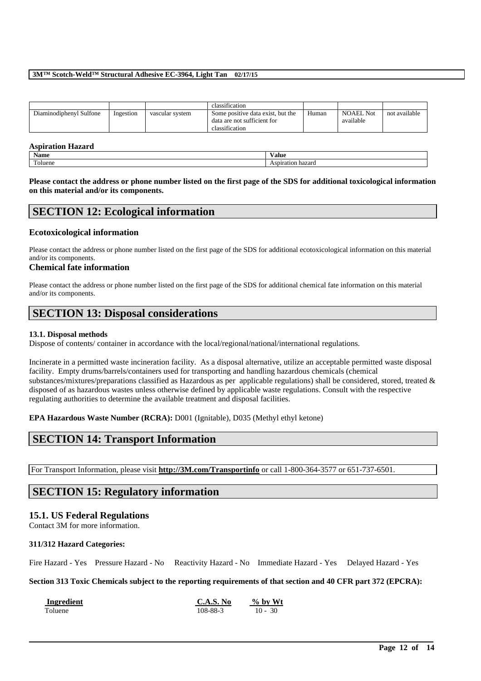|                         |           |                 | classification                                                                     |       |                        |               |
|-------------------------|-----------|-----------------|------------------------------------------------------------------------------------|-------|------------------------|---------------|
| Diaminodiphenyl Sulfone | Ingestion | vascular system | Some positive data exist, but the<br>data are not sufficient for<br>classification | Human | NOAEL Not<br>available | not available |

## **Aspiration Hazard**

| . .               |       |
|-------------------|-------|
| Name              | Value |
| <b>CONTRACTOR</b> | 7.AH  |
| bluene            | та    |

**Please contact the address or phone number listed on the first page of the SDS for additional toxicological information on this material and/or its components.**

## **SECTION 12: Ecological information**

## **Ecotoxicological information**

Please contact the address or phone number listed on the first page of the SDS for additional ecotoxicological information on this material and/or its components.

#### **Chemical fate information**

Please contact the address or phone number listed on the first page of the SDS for additional chemical fate information on this material and/or its components.

## **SECTION 13: Disposal considerations**

#### **13.1. Disposal methods**

Dispose of contents/ container in accordance with the local/regional/national/international regulations.

Incinerate in a permitted waste incineration facility. As a disposal alternative, utilize an acceptable permitted waste disposal facility. Empty drums/barrels/containers used for transporting and handling hazardous chemicals (chemical substances/mixtures/preparations classified as Hazardous as per applicable regulations) shall be considered, stored, treated & disposed of as hazardous wastes unless otherwise defined by applicable waste regulations. Consult with the respective regulating authorities to determine the available treatment and disposal facilities.

**EPA Hazardous Waste Number (RCRA):** D001 (Ignitable), D035 (Methyl ethyl ketone)

## **SECTION 14: Transport Information**

For Transport Information, please visit **http://3M.com/Transportinfo** or call 1-800-364-3577 or 651-737-6501.

## **SECTION 15: Regulatory information**

## **15.1. US Federal Regulations**

Contact 3M for more information.

#### **311/312 Hazard Categories:**

Fire Hazard - Yes Pressure Hazard - No Reactivity Hazard - No Immediate Hazard - Yes Delayed Hazard - Yes

## **Section 313 Toxic Chemicals subject to the reporting requirements of that section and 40 CFR part 372 (EPCRA):**

\_\_\_\_\_\_\_\_\_\_\_\_\_\_\_\_\_\_\_\_\_\_\_\_\_\_\_\_\_\_\_\_\_\_\_\_\_\_\_\_\_\_\_\_\_\_\_\_\_\_\_\_\_\_\_\_\_\_\_\_\_\_\_\_\_\_\_\_\_\_\_\_\_\_\_\_\_\_\_\_\_\_\_\_\_\_\_\_\_\_

**Ingredient C.A.S. No**  $\frac{6}{5}$  **We WE** Toluene 108-88-3 10 - 30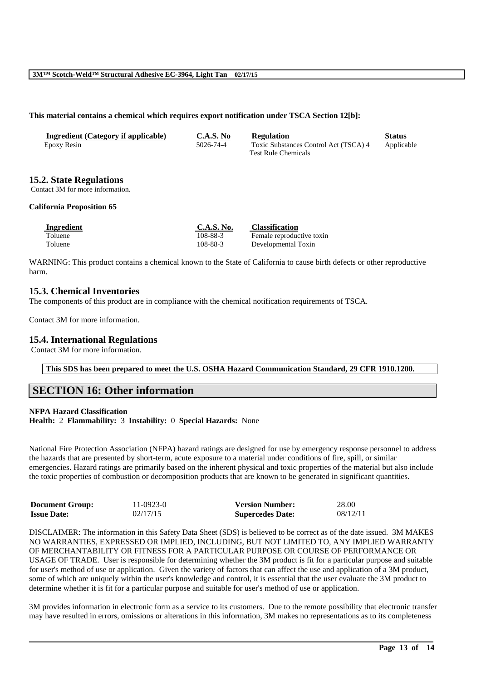### **This material contains a chemical which requires export notification under TSCA Section 12[b]:**

| Ingredient (Category if applicable) | <b>C.A.S. No</b> | <b>Regulation</b>                     | <b>Status</b> |
|-------------------------------------|------------------|---------------------------------------|---------------|
| Epoxy Resin                         | 5026-74-4        | Toxic Substances Control Act (TSCA) 4 | Applicable    |
|                                     |                  | <b>Test Rule Chemicals</b>            |               |

## **15.2. State Regulations**

Contact 3M for more information.

#### **California Proposition 65**

| Ingredient | C.A.S. No. | <b>Classification</b>     |
|------------|------------|---------------------------|
| Toluene    | 108-88-3   | Female reproductive toxin |
| Toluene    | 108-88-3   | Developmental Toxin       |

WARNING: This product contains a chemical known to the State of California to cause birth defects or other reproductive harm.

## **15.3. Chemical Inventories**

The components of this product are in compliance with the chemical notification requirements of TSCA.

Contact 3M for more information.

## **15.4. International Regulations**

Contact 3M for more information.

**This SDS has been prepared to meet the U.S. OSHA Hazard Communication Standard, 29 CFR 1910.1200.**

## **SECTION 16: Other information**

#### **NFPA Hazard Classification**

**Health:** 2 **Flammability:** 3 **Instability:** 0 **Special Hazards:** None

National Fire Protection Association (NFPA) hazard ratings are designed for use by emergency response personnel to address the hazards that are presented by short-term, acute exposure to a material under conditions of fire, spill, or similar emergencies. Hazard ratings are primarily based on the inherent physical and toxic properties of the material but also include the toxic properties of combustion or decomposition products that are known to be generated in significant quantities.

| <b>Document Group:</b> | 11-0923-0 | <b>Version Number:</b>  | 28.00    |
|------------------------|-----------|-------------------------|----------|
| <b>Issue Date:</b>     | 02/17/15  | <b>Supercedes Date:</b> | 08/12/11 |

DISCLAIMER: The information in this Safety Data Sheet (SDS) is believed to be correct as of the date issued. 3M MAKES NO WARRANTIES, EXPRESSED OR IMPLIED, INCLUDING, BUT NOT LIMITED TO, ANY IMPLIED WARRANTY OF MERCHANTABILITY OR FITNESS FOR A PARTICULAR PURPOSE OR COURSE OF PERFORMANCE OR USAGE OF TRADE. User is responsible for determining whether the 3M product is fit for a particular purpose and suitable for user's method of use or application. Given the variety of factors that can affect the use and application of a 3M product, some of which are uniquely within the user's knowledge and control, it is essential that the user evaluate the 3M product to determine whether it is fit for a particular purpose and suitable for user's method of use or application.

3M provides information in electronic form as a service to its customers. Due to the remote possibility that electronic transfer may have resulted in errors, omissions or alterations in this information, 3M makes no representations as to its completeness